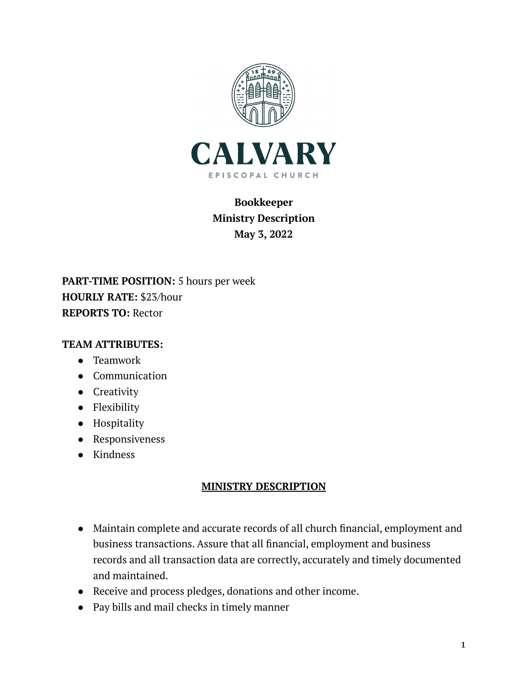

## **Bookkeeper Ministry Description May 3, 2022**

**PART-TIME POSITION:** 5 hours per week **HOURLY RATE:** \$23/hour **REPORTS TO:** Rector

## **TEAM ATTRIBUTES:**

- Teamwork
- Communication
- Creativity
- Flexibility
- Hospitality
- Responsiveness
- Kindness

## **MINISTRY DESCRIPTION**

- Maintain complete and accurate records of all church financial, employment and business transactions. Assure that all financial, employment and business records and all transaction data are correctly, accurately and timely documented and maintained.
- Receive and process pledges, donations and other income.
- Pay bills and mail checks in timely manner